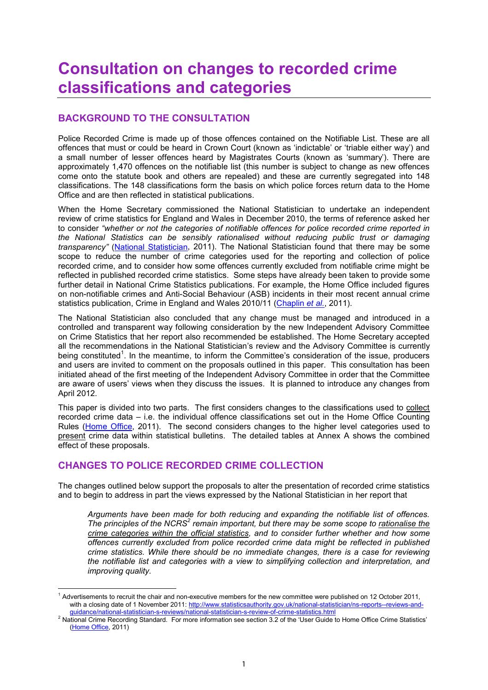# **Consultation on changes to recorded crime classifications and categories**

# **BACKGROUND TO THE CONSULTATION**

Police Recorded Crime is made up of those offences contained on the Notifiable List. These are all offences that must or could be heard in Crown Court (known as 'indictable' or 'triable either way') and a small number of lesser offences heard by Magistrates Courts (known as 'summary'). There are approximately 1,470 offences on the notifiable list (this number is subject to change as new offences come onto the statute book and others are repealed) and these are currently segregated into 148 classifications. The 148 classifications form the basis on which police forces return data to the Home Office and are then reflected in statistical publications.

When the Home Secretary commissioned the National Statistician to undertake an independent review of crime statistics for England and Wales in December 2010, the terms of reference asked her to consider *"whether or not the categories of notifiable offences for police recorded crime reported in the National Statistics can be sensibly rationalised without reducing public trust or damaging transparency"* (National [Statistician,](http://www.statisticsauthority.gov.uk/national-statistician/ns-reports--reviews-and-guidance/national-statistician-s-reports/national-statistician-s-review-of-crime-statistics.pdf) 2011). The National Statistician found that there may be some scope to reduce the number of crime categories used for the reporting and collection of police recorded crime, and to consider how some offences currently excluded from notifiable crime might be reflected in published recorded crime statistics. Some steps have already been taken to provide some further detail in National Crime Statistics publications. For example, the Home Office included figures on non-notifiable crimes and Anti-Social Behaviour (ASB) incidents in their most recent annual crime statistics publication, Crime in England and Wales 2010/11 [\(Chaplin](http://www.homeoffice.gov.uk/publications/science-research-statistics/research-statistics/crime-research/hosb1011/) *et al.*, 2011).

The National Statistician also concluded that any change must be managed and introduced in a controlled and transparent way following consideration by the new Independent Advisory Committee on Crime Statistics that her report also recommended be established. The Home Secretary accepted all the recommendations in the National Statistician's review and the Advisory Committee is currently being constituted<sup>1</sup>. In the meantime, to inform the Committee's consideration of the issue, producers and users are invited to comment on the proposals outlined in this paper. This consultation has been initiated ahead of the first meeting of the Independent Advisory Committee in order that the Committee are aware of users' views when they discuss the issues. It is planned to introduce any changes from April 2012.

This paper is divided into two parts. The first considers changes to the classifications used to collect recorded crime data – i.e. the individual offence classifications set out in the Home Office Counting Rules ([Home](http://www.homeoffice.gov.uk/science-research/research-statistics/crime/counting-rules/http:/www.homeoffice.gov.uk/science-research/research-statistics/crime/counting-rules/) Office, 2011). The second considers changes to the higher level categories used to present crime data within statistical bulletins. The detailed tables at Annex A shows the combined effect of these proposals.

# **CHANGES TO POLICE RECORDED CRIME COLLECTION**

The changes outlined below support the proposals to alter the presentation of recorded crime statistics and to begin to address in part the views expressed by the National Statistician in her report that

*Arguments have been made for both reducing and expanding the notifiable list of offences. The principles of the NCRS<sup>2</sup> remain important, but there may be some scope to rationalise the crime categories within the official statistics, and to consider further whether and how some offences currently excluded from police recorded crime data might be reflected in published crime statistics. While there should be no immediate changes, there is a case for reviewing the notifiable list and categories with a view to simplifying collection and interpretation, and improving quality.* 

 $1$  Advertisements to recruit the chair and non-executive members for the new committee were published on 12 October 2011, with a closing date of 1 November 2011: http://www.statisticsauthority.gov.uk/national-statistician/ns-reports--reviews-and-

guidance/national-statistician-s-reviews/national-statistician-s-review-of-crime-statistics.html 2 National Crime Recording Standard. For more information see section 3.2 of the 'User Guide to Home Office Crime Statistics' ([Home](http://www.homeoffice.gov.uk/publications/science-research-statistics/research-statistics/crime-research/user-guide-crime-statistics/) Office, 2011)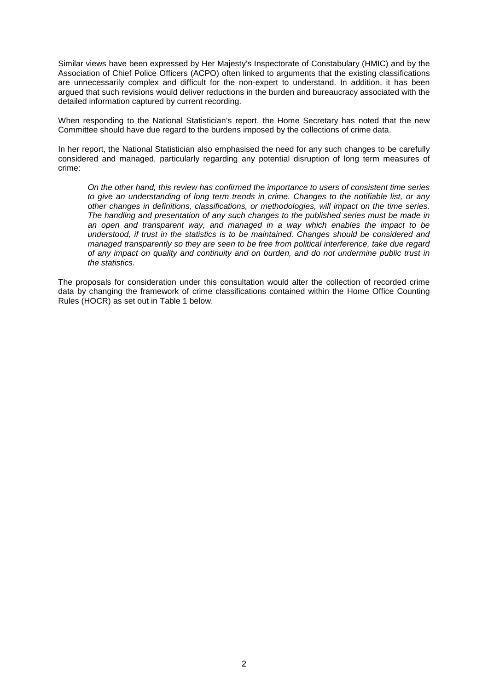Similar views have been expressed by Her Majesty's Inspectorate of Constabulary (HMIC) and by the Association of Chief Police Officers (ACPO) often linked to arguments that the existing classifications are unnecessarily complex and difficult for the non-expert to understand. In addition, it has been argued that such revisions would deliver reductions in the burden and bureaucracy associated with the detailed information captured by current recording.

When responding to the National Statistician's report, the Home Secretary has noted that the new Committee should have due regard to the burdens imposed by the collections of crime data.

In her report, the National Statistician also emphasised the need for any such changes to be carefully considered and managed, particularly regarding any potential disruption of long term measures of crime:

*On the other hand, this review has confirmed the importance to users of consistent time series to give an understanding of long term trends in crime. Changes to the notifiable list, or any other changes in definitions, classifications, or methodologies, will impact on the time series. The handling and presentation of any such changes to the published series must be made in an open and transparent way, and managed in a way which enables the impact to be understood, if trust in the statistics is to be maintained. Changes should be considered and managed transparently so they are seen to be free from political interference, take due regard of any impact on quality and continuity and on burden, and do not undermine public trust in the statistics.* 

The proposals for consideration under this consultation would alter the collection of recorded crime data by changing the framework of crime classifications contained within the Home Office Counting Rules (HOCR) as set out in Table 1 below.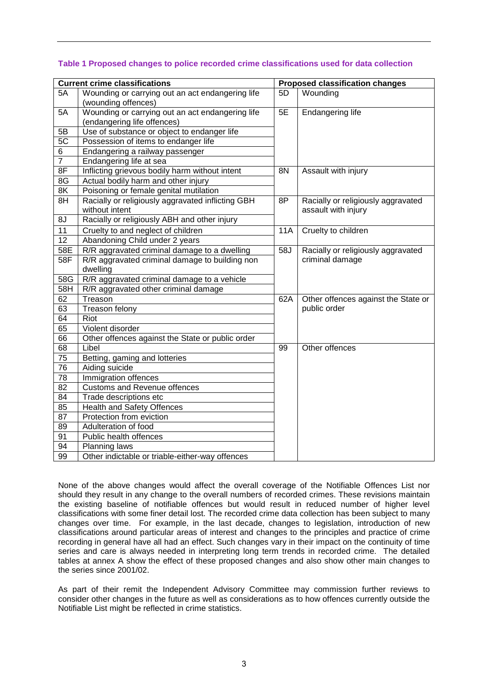| <b>Current crime classifications</b> |                                                   | <b>Proposed classification changes</b> |                                     |
|--------------------------------------|---------------------------------------------------|----------------------------------------|-------------------------------------|
| 5A                                   | Wounding or carrying out an act endangering life  | 5D                                     | Wounding                            |
|                                      | (wounding offences)                               |                                        |                                     |
| 5A                                   | Wounding or carrying out an act endangering life  | 5E                                     | Endangering life                    |
|                                      | (endangering life offences)                       |                                        |                                     |
| 5B                                   | Use of substance or object to endanger life       |                                        |                                     |
| 5 <sub>C</sub>                       | Possession of items to endanger life              |                                        |                                     |
| 6                                    | Endangering a railway passenger                   |                                        |                                     |
| $\overline{7}$                       | Endangering life at sea                           |                                        |                                     |
| 8F                                   | Inflicting grievous bodily harm without intent    | <b>8N</b>                              | Assault with injury                 |
| $\overline{8G}$                      | Actual bodily harm and other injury               |                                        |                                     |
| 8K                                   | Poisoning or female genital mutilation            |                                        |                                     |
| 8H                                   | Racially or religiously aggravated inflicting GBH | 8P                                     | Racially or religiously aggravated  |
|                                      | without intent                                    |                                        | assault with injury                 |
| 8J                                   | Racially or religiously ABH and other injury      |                                        |                                     |
| 11                                   | Cruelty to and neglect of children                | <b>11A</b>                             | Cruelty to children                 |
| 12                                   | Abandoning Child under 2 years                    |                                        |                                     |
| 58E                                  | R/R aggravated criminal damage to a dwelling      | 58J                                    | Racially or religiously aggravated  |
| 58F                                  | R/R aggravated criminal damage to building non    |                                        | criminal damage                     |
|                                      | dwelling                                          |                                        |                                     |
| 58G                                  | R/R aggravated criminal damage to a vehicle       |                                        |                                     |
| 58H                                  | R/R aggravated other criminal damage              |                                        |                                     |
| 62                                   | Treason                                           | 62A                                    | Other offences against the State or |
| 63                                   | Treason felony                                    |                                        | public order                        |
| 64                                   | Riot                                              |                                        |                                     |
| 65                                   | Violent disorder                                  |                                        |                                     |
| 66                                   | Other offences against the State or public order  |                                        |                                     |
| $\overline{68}$                      | Libel                                             | 99                                     | Other offences                      |
| 75                                   | Betting, gaming and lotteries                     |                                        |                                     |
| 76                                   | Aiding suicide                                    |                                        |                                     |
| $\overline{78}$                      | Immigration offences                              |                                        |                                     |
| $\overline{82}$                      | <b>Customs and Revenue offences</b>               |                                        |                                     |
| 84                                   | Trade descriptions etc                            |                                        |                                     |
| 85                                   | <b>Health and Safety Offences</b>                 |                                        |                                     |
| 87                                   | Protection from eviction                          |                                        |                                     |
| 89                                   | Adulteration of food                              |                                        |                                     |
| 91                                   | Public health offences                            |                                        |                                     |
| 94                                   | Planning laws                                     |                                        |                                     |
| 99                                   | Other indictable or triable-either-way offences   |                                        |                                     |

## **Table 1 Proposed changes to police recorded crime classifications used for data collection**

None of the above changes would affect the overall coverage of the Notifiable Offences List nor should they result in any change to the overall numbers of recorded crimes. These revisions maintain the existing baseline of notifiable offences but would result in reduced number of higher level classifications with some finer detail lost. The recorded crime data collection has been subject to many changes over time. For example, in the last decade, changes to legislation, introduction of new classifications around particular areas of interest and changes to the principles and practice of crime recording in general have all had an effect. Such changes vary in their impact on the continuity of time series and care is always needed in interpreting long term trends in recorded crime. The detailed tables at annex A show the effect of these proposed changes and also show other main changes to the series since 2001/02.

As part of their remit the Independent Advisory Committee may commission further reviews to consider other changes in the future as well as considerations as to how offences currently outside the Notifiable List might be reflected in crime statistics.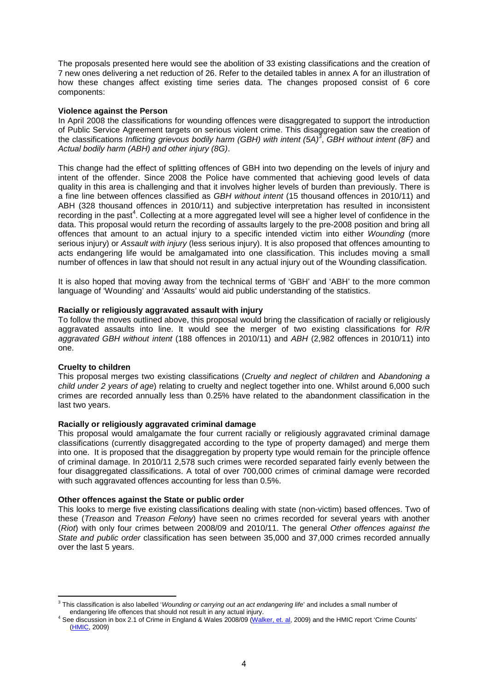The proposals presented here would see the abolition of 33 existing classifications and the creation of 7 new ones delivering a net reduction of 26. Refer to the detailed tables in annex A for an illustration of how these changes affect existing time series data. The changes proposed consist of 6 core components:

#### **Violence against the Person**

In April 2008 the classifications for wounding offences were disaggregated to support the introduction of Public Service Agreement targets on serious violent crime. This disaggregation saw the creation of the classifications *Inflicting grievous bodily harm (GBH) with intent (5A)<sup>3</sup>* , *GBH without intent (8F)* and *Actual bodily harm (ABH) and other injury (8G)*.

This change had the effect of splitting offences of GBH into two depending on the levels of injury and intent of the offender. Since 2008 the Police have commented that achieving good levels of data quality in this area is challenging and that it involves higher levels of burden than previously. There is a fine line between offences classified as *GBH without intent* (15 thousand offences in 2010/11) and ABH (328 thousand offences in 2010/11) and subjective interpretation has resulted in inconsistent recording in the past<sup>4</sup>. Collecting at a more aggregated level will see a higher level of confidence in the data. This proposal would return the recording of assaults largely to the pre-2008 position and bring all offences that amount to an actual injury to a specific intended victim into either *Wounding* (more serious injury) or *Assault with injury* (less serious injury). It is also proposed that offences amounting to acts endangering life would be amalgamated into one classification. This includes moving a small number of offences in law that should not result in any actual injury out of the Wounding classification.

It is also hoped that moving away from the technical terms of 'GBH' and 'ABH' to the more common language of 'Wounding' and 'Assaults' would aid public understanding of the statistics.

## **Racially or religiously aggravated assault with injury**

To follow the moves outlined above, this proposal would bring the classification of racially or religiously aggravated assaults into line. It would see the merger of two existing classifications for *R/R aggravated GBH without intent* (188 offences in 2010/11) and *ABH* (2,982 offences in 2010/11) into one.

#### **Cruelty to children**

 $\overline{a}$ 

This proposal merges two existing classifications (*Cruelty and neglect of children* and A*bandoning a child under 2 years of age*) relating to cruelty and neglect together into one. Whilst around 6,000 such crimes are recorded annually less than 0.25% have related to the abandonment classification in the last two years.

#### **Racially or religiously aggravated criminal damage**

This proposal would amalgamate the four current racially or religiously aggravated criminal damage classifications (currently disaggregated according to the type of property damaged) and merge them into one. It is proposed that the disaggregation by property type would remain for the principle offence of criminal damage. In 2010/11 2,578 such crimes were recorded separated fairly evenly between the four disaggregated classifications. A total of over 700,000 crimes of criminal damage were recorded with such aggravated offences accounting for less than 0.5%.

#### **Other offences against the State or public order**

This looks to merge five existing classifications dealing with state (non-victim) based offences. Two of these (*Treason* and *Treason Felony*) have seen no crimes recorded for several years with another (*Riot*) with only four crimes between 2008/09 and 2010/11. The general *Other offences against the State and public order* classification has seen between 35,000 and 37,000 crimes recorded annually over the last 5 years.

<sup>3</sup> This classification is also labelled '*Wounding or carrying out an act endangering life*' and includes a small number of endangering life offences that should not result in any actual injury.<br>4 See discussion in box 2.1 of Crime in England & Wales 2008/09 [\(Walker, et. al](http://webarchive.nationalarchives.gov.uk/20110220105210/rds.homeoffice.gov.uk/rds/pdfs09/hosb1109vol1.pdf), 2009) and the HMIC report 'Crime Counts'

[<sup>\(</sup>HMIC](http://www.hmic.gov.uk/media/crime-counts-20091019.pdf), 2009)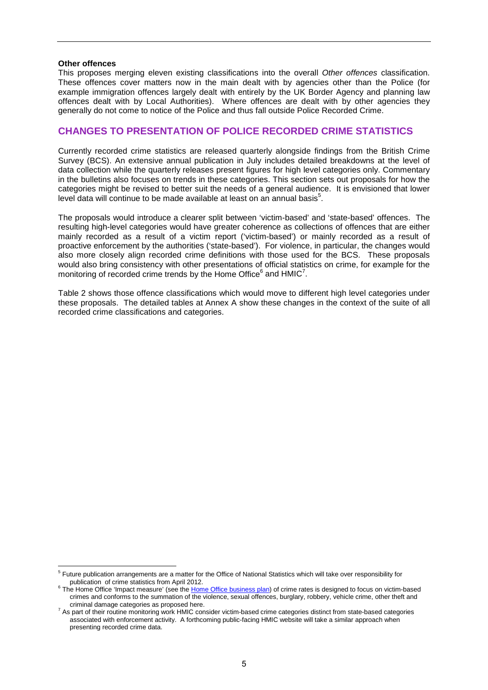#### **Other offences**

This proposes merging eleven existing classifications into the overall *Other offences* classification. These offences cover matters now in the main dealt with by agencies other than the Police (for example immigration offences largely dealt with entirely by the UK Border Agency and planning law offences dealt with by Local Authorities). Where offences are dealt with by other agencies they generally do not come to notice of the Police and thus fall outside Police Recorded Crime.

# **CHANGES TO PRESENTATION OF POLICE RECORDED CRIME STATISTICS**

Currently recorded crime statistics are released quarterly alongside findings from the British Crime Survey (BCS). An extensive annual publication in July includes detailed breakdowns at the level of data collection while the quarterly releases present figures for high level categories only. Commentary in the bulletins also focuses on trends in these categories. This section sets out proposals for how the categories might be revised to better suit the needs of a general audience. It is envisioned that lower level data will continue to be made available at least on an annual basis $5$ .

The proposals would introduce a clearer split between 'victim-based' and 'state-based' offences. The resulting high-level categories would have greater coherence as collections of offences that are either mainly recorded as a result of a victim report ('victim-based') or mainly recorded as a result of proactive enforcement by the authorities ('state-based'). For violence, in particular, the changes would also more closely align recorded crime definitions with those used for the BCS. These proposals would also bring consistency with other presentations of official statistics on crime, for example for the monitoring of recorded crime trends by the Home Office $6$  and HMIC<sup>7</sup>.

Table 2 shows those offence classifications which would move to different high level categories under these proposals. The detailed tables at Annex A show these changes in the context of the suite of all recorded crime classifications and categories.

 5 Future publication arrangements are a matter for the Office of National Statistics which will take over responsibility for publication of crime statistics from April 2012.

 $6$  The Home Office 'Impact measure' (see the [Home Office business plan\)](http://www.homeoffice.gov.uk/publications/about-us/corporate-publications/business-plan-impact-indicators/) of crime rates is designed to focus on victim-based crimes and conforms to the summation of the violence, sexual offences, burglary, robbery, vehicle crime, other theft and criminal damage categories as proposed here.

 $^7$  As part of their routine monitoring work HMIC consider victim-based crime categories distinct from state-based categories associated with enforcement activity. A forthcoming public-facing HMIC website will take a similar approach when presenting recorded crime data.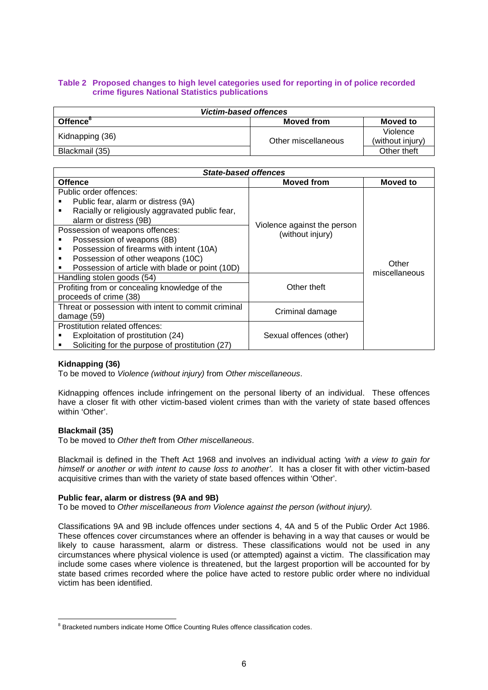## **Table 2 Proposed changes to high level categories used for reporting in of police recorded crime figures National Statistics publications**

| <b>Victim-based offences</b> |                     |                              |  |  |
|------------------------------|---------------------|------------------------------|--|--|
| Offence                      | Moved from          | Moved to                     |  |  |
| Kidnapping (36)              | Other miscellaneous | Violence<br>(without injury) |  |  |
| Blackmail (35)               |                     | Other theft                  |  |  |

| <b>State-based offences</b>                          |                             |                        |  |  |  |
|------------------------------------------------------|-----------------------------|------------------------|--|--|--|
| <b>Offence</b>                                       | <b>Moved from</b>           | <b>Moved to</b>        |  |  |  |
| Public order offences:                               |                             |                        |  |  |  |
| Public fear, alarm or distress (9A)                  |                             | Other<br>miscellaneous |  |  |  |
| Racially or religiously aggravated public fear,<br>٠ |                             |                        |  |  |  |
| alarm or distress (9B)                               | Violence against the person |                        |  |  |  |
| Possession of weapons offences:                      | (without injury)            |                        |  |  |  |
| Possession of weapons (8B)                           |                             |                        |  |  |  |
| Possession of firearms with intent (10A)<br>٠        |                             |                        |  |  |  |
| Possession of other weapons (10C)<br>٠               |                             |                        |  |  |  |
| Possession of article with blade or point (10D)      |                             |                        |  |  |  |
| Handling stolen goods (54)                           | Other theft                 |                        |  |  |  |
| Profiting from or concealing knowledge of the        |                             |                        |  |  |  |
| proceeds of crime (38)                               |                             |                        |  |  |  |
| Threat or possession with intent to commit criminal  |                             |                        |  |  |  |
| damage (59)                                          | Criminal damage             |                        |  |  |  |
| Prostitution related offences:                       |                             |                        |  |  |  |
| Exploitation of prostitution (24)                    | Sexual offences (other)     |                        |  |  |  |
| Soliciting for the purpose of prostitution (27)      |                             |                        |  |  |  |

## **Kidnapping (36)**

To be moved to *Violence (without injury)* from *Other miscellaneous*.

Kidnapping offences include infringement on the personal liberty of an individual. These offences have a closer fit with other victim-based violent crimes than with the variety of state based offences within 'Other'.

#### **Blackmail (35)**

To be moved to *Other theft* from *Other miscellaneous*.

Blackmail is defined in the Theft Act 1968 and involves an individual acting *'with a view to gain for himself or another or with intent to cause loss to another'*. It has a closer fit with other victim-based acquisitive crimes than with the variety of state based offences within 'Other'.

#### **Public fear, alarm or distress (9A and 9B)**

To be moved to *Other miscellaneous from Violence against the person (without injury).*

Classifications 9A and 9B include offences under sections 4, 4A and 5 of the Public Order Act 1986. These offences cover circumstances where an offender is behaving in a way that causes or would be likely to cause harassment, alarm or distress. These classifications would not be used in any circumstances where physical violence is used (or attempted) against a victim. The classification may include some cases where violence is threatened, but the largest proportion will be accounted for by state based crimes recorded where the police have acted to restore public order where no individual victim has been identified.

enties.<br><sup>8</sup> Bracketed numbers indicate Home Office Counting Rules offence classification codes.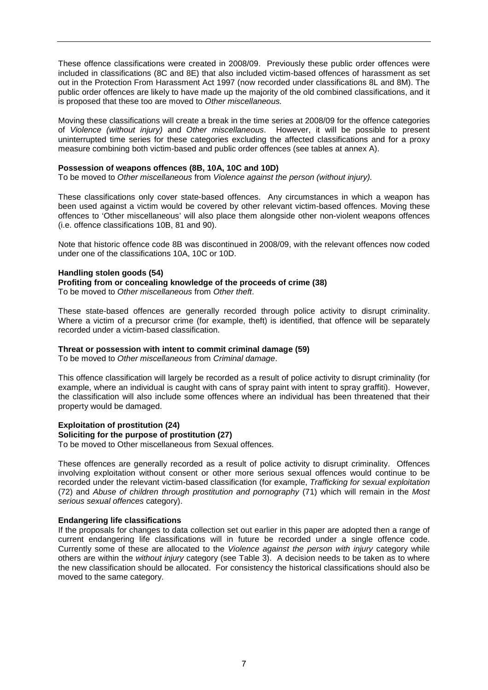These offence classifications were created in 2008/09. Previously these public order offences were included in classifications (8C and 8E) that also included victim-based offences of harassment as set out in the Protection From Harassment Act 1997 (now recorded under classifications 8L and 8M). The public order offences are likely to have made up the majority of the old combined classifications, and it is proposed that these too are moved to *Other miscellaneous.*

Moving these classifications will create a break in the time series at 2008/09 for the offence categories of *Violence (without injury)* and *Other miscellaneous*. However, it will be possible to present uninterrupted time series for these categories excluding the affected classifications and for a proxy measure combining both victim-based and public order offences (see tables at annex A).

#### **Possession of weapons offences (8B, 10A, 10C and 10D)**

To be moved to *Other miscellaneous* from *Violence against the person (without injury).*

These classifications only cover state-based offences. Any circumstances in which a weapon has been used against a victim would be covered by other relevant victim-based offences. Moving these offences to 'Other miscellaneous' will also place them alongside other non-violent weapons offences (i.e. offence classifications 10B, 81 and 90).

Note that historic offence code 8B was discontinued in 2008/09, with the relevant offences now coded under one of the classifications 10A, 10C or 10D.

#### **Handling stolen goods (54)**

**Profiting from or concealing knowledge of the proceeds of crime (38)** 

To be moved to *Other miscellaneous* from *Other theft*.

These state-based offences are generally recorded through police activity to disrupt criminality. Where a victim of a precursor crime (for example, theft) is identified, that offence will be separately recorded under a victim-based classification.

## **Threat or possession with intent to commit criminal damage (59)**

To be moved to *Other miscellaneous* from *Criminal damage*.

This offence classification will largely be recorded as a result of police activity to disrupt criminality (for example, where an individual is caught with cans of spray paint with intent to spray graffiti). However, the classification will also include some offences where an individual has been threatened that their property would be damaged.

## **Exploitation of prostitution (24)**

## **Soliciting for the purpose of prostitution (27)**

To be moved to Other miscellaneous from Sexual offences.

These offences are generally recorded as a result of police activity to disrupt criminality. Offences involving exploitation without consent or other more serious sexual offences would continue to be recorded under the relevant victim-based classification (for example, *Trafficking for sexual exploitation* (72) and *Abuse of children through prostitution and pornography* (71) which will remain in the *Most serious sexual offences* category).

#### **Endangering life classifications**

If the proposals for changes to data collection set out earlier in this paper are adopted then a range of current endangering life classifications will in future be recorded under a single offence code. Currently some of these are allocated to the *Violence against the person with injury* category while others are within the *without injury* category (see Table 3). A decision needs to be taken as to where the new classification should be allocated. For consistency the historical classifications should also be moved to the same category.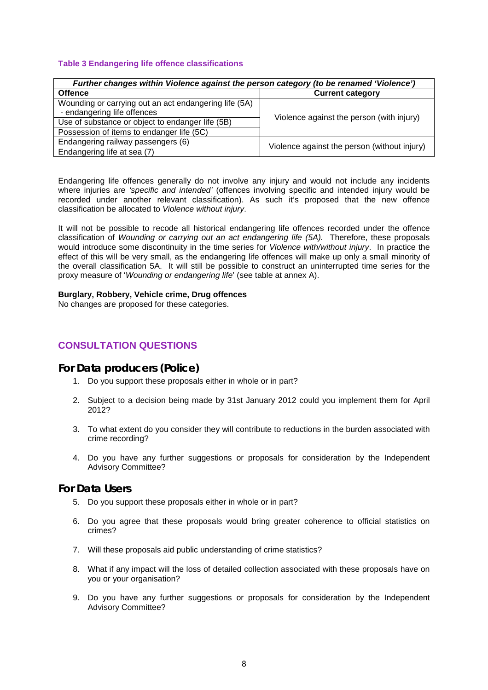## **Table 3 Endangering life offence classifications**

| Further changes within Violence against the person category (to be renamed 'Violence') |                                              |  |  |  |
|----------------------------------------------------------------------------------------|----------------------------------------------|--|--|--|
| <b>Offence</b>                                                                         | <b>Current category</b>                      |  |  |  |
| Wounding or carrying out an act endangering life (5A)                                  | Violence against the person (with injury)    |  |  |  |
| - endangering life offences                                                            |                                              |  |  |  |
| Use of substance or object to endanger life (5B)                                       |                                              |  |  |  |
| Possession of items to endanger life (5C)                                              |                                              |  |  |  |
| Endangering railway passengers (6)                                                     | Violence against the person (without injury) |  |  |  |
| Endangering life at sea (7)                                                            |                                              |  |  |  |

Endangering life offences generally do not involve any injury and would not include any incidents where injuries are *'specific and intended'* (offences involving specific and intended injury would be recorded under another relevant classification). As such it's proposed that the new offence classification be allocated to *Violence without injury*.

It will not be possible to recode all historical endangering life offences recorded under the offence classification of *Wounding or carrying out an act endangering life (5A).* Therefore, these proposals would introduce some discontinuity in the time series for *Violence with/without injury*. In practice the effect of this will be very small, as the endangering life offences will make up only a small minority of the overall classification 5A. It will still be possible to construct an uninterrupted time series for the proxy measure of '*Wounding or endangering life*' (see table at annex A).

#### **Burglary, Robbery, Vehicle crime, Drug offences**

No changes are proposed for these categories.

# **CONSULTATION QUESTIONS**

# **For Data producers (Police)**

- 1. Do you support these proposals either in whole or in part?
- 2. Subject to a decision being made by 31st January 2012 could you implement them for April 2012?
- 3. To what extent do you consider they will contribute to reductions in the burden associated with crime recording?
- 4. Do you have any further suggestions or proposals for consideration by the Independent Advisory Committee?

# **For Data Users**

- 5. Do you support these proposals either in whole or in part?
- 6. Do you agree that these proposals would bring greater coherence to official statistics on crimes?
- 7. Will these proposals aid public understanding of crime statistics?
- 8. What if any impact will the loss of detailed collection associated with these proposals have on you or your organisation?
- 9. Do you have any further suggestions or proposals for consideration by the Independent Advisory Committee?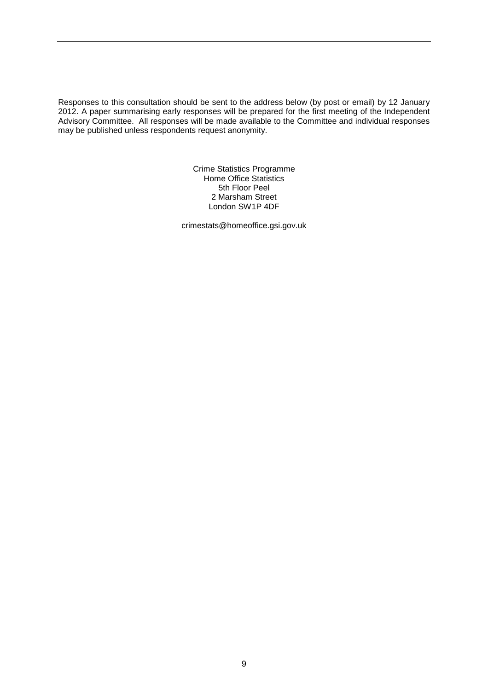Responses to this consultation should be sent to the address below (by post or email) by 12 January 2012. A paper summarising early responses will be prepared for the first meeting of the Independent Advisory Committee. All responses will be made available to the Committee and individual responses may be published unless respondents request anonymity.

> Crime Statistics Programme Home Office Statistics 5th Floor Peel 2 Marsham Street London SW1P 4DF

crimestats@homeoffice.gsi.gov.uk